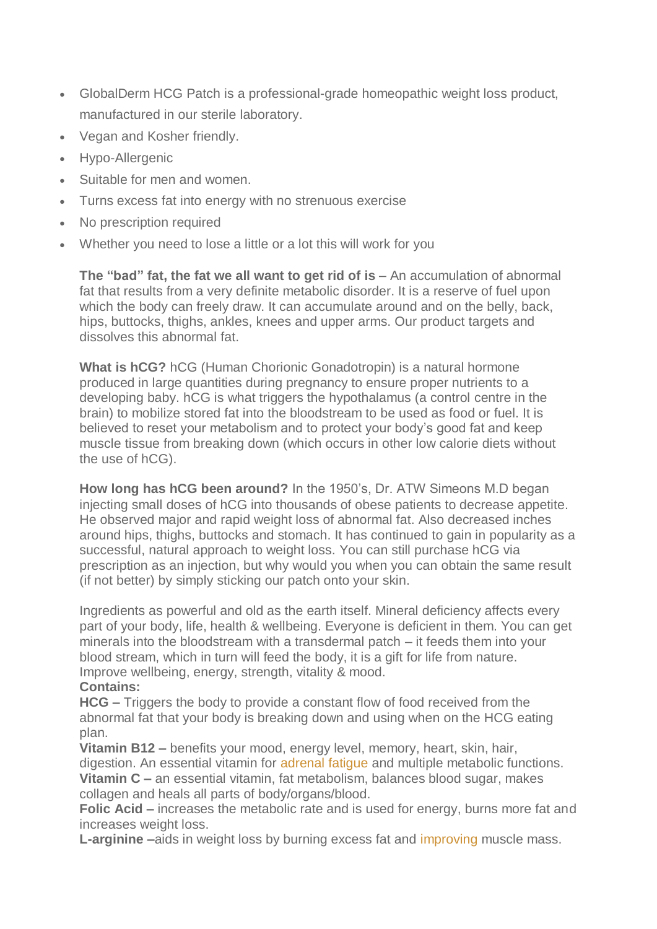- GlobalDerm HCG Patch is a professional-grade homeopathic weight loss product, manufactured in our sterile laboratory.
- Vegan and Kosher friendly.
- Hypo-Allergenic
- Suitable for men and women.
- Turns excess fat into energy with no strenuous exercise
- No prescription required
- Whether you need to lose a little or a lot this will work for you

**The "bad" fat, the fat we all want to get rid of is** – An accumulation of abnormal fat that results from a very definite metabolic disorder. It is a reserve of fuel upon which the body can freely draw. It can accumulate around and on the belly, back, hips, buttocks, thighs, ankles, knees and upper arms. Our product targets and dissolves this abnormal fat.

**What is hCG?** hCG (Human Chorionic Gonadotropin) is a natural hormone produced in large quantities during pregnancy to ensure proper nutrients to a developing baby. hCG is what triggers the hypothalamus (a control centre in the brain) to mobilize stored fat into the bloodstream to be used as food or fuel. It is believed to reset your metabolism and to protect your body's good fat and keep muscle tissue from breaking down (which occurs in other low calorie diets without the use of hCG).

**How long has hCG been around?** In the 1950's, Dr. ATW Simeons M.D began injecting small doses of hCG into thousands of obese patients to decrease appetite. He observed major and rapid weight loss of abnormal fat. Also decreased inches around hips, thighs, buttocks and stomach. It has continued to gain in popularity as a successful, natural approach to weight loss. You can still purchase hCG via prescription as an injection, but why would you when you can obtain the same result (if not better) by simply sticking our patch onto your skin.

Ingredients as powerful and old as the earth itself. Mineral deficiency affects every part of your body, life, health & wellbeing. Everyone is deficient in them. You can get minerals into the bloodstream with a transdermal patch – it feeds them into your blood stream, which in turn will feed the body, it is a gift for life from nature. Improve wellbeing, energy, strength, vitality & mood.

## **Contains:**

**HCG –** Triggers the body to provide a constant flow of food received from the abnormal fat that your body is breaking down and using when on the HCG eating plan.

**Vitamin B12 –** benefits your mood, energy level, memory, heart, skin, hair, digestion. An essential vitamin for [adrenal](https://draxe.com/3-steps-to-heal-adrenal-fatigue/) fatigue and multiple metabolic functions. **Vitamin C –** an essential vitamin, fat metabolism, balances blood sugar, makes collagen and heals all parts of body/organs/blood.

**Folic Acid –** increases the metabolic rate and is used for energy, burns more fat and increases weight loss.

**L-arginine –**aids in weight loss by burning excess fat and [improving](http://www.ncbi.nlm.nih.gov/pubmed/20437186) muscle mass.